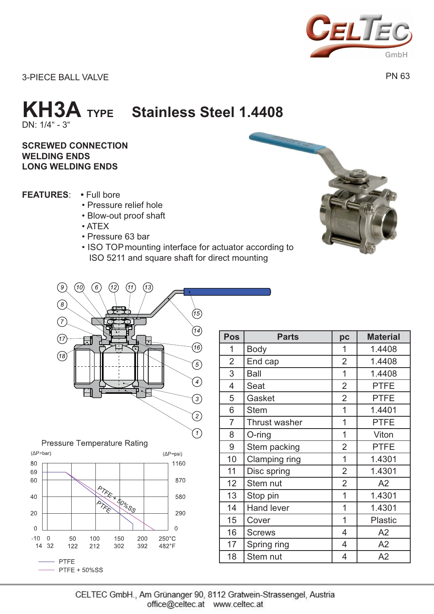

3-PIECE BALL VALVE

PN 63

## DN: 1/4" - 3" **KH3A TYPE Stainless Steel 1.4408**

## **SCREWED CONNECTION WELDING ENDS LONG WELDING ENDS**

- **FEATURES:** Full bore
	- Pressure relief hole
	- Blow-out proof shaft
	- ATEX
	- Pressure 63 bar
	- ISO TOPmounting interface for actuator according to ISO 5211 and square shaft for direct mounting



**Pressure Temperature Rating** 



| Pos            | <b>Parts</b>         | pc             | <b>Material</b> |  |  |  |
|----------------|----------------------|----------------|-----------------|--|--|--|
| 1              | <b>Body</b>          | 1              | 1.4408          |  |  |  |
| $\overline{2}$ | End cap              | $\overline{2}$ | 1.4408          |  |  |  |
| 3              | <b>Ball</b>          | 1              | 1.4408          |  |  |  |
| 4              | Seat                 | $\overline{2}$ | <b>PTFE</b>     |  |  |  |
| 5              | Gasket               | $\overline{2}$ | <b>PTFE</b>     |  |  |  |
| 6              | <b>Stem</b>          | 1              | 1.4401          |  |  |  |
| $\overline{7}$ | <b>Thrust washer</b> | 1              | <b>PTFE</b>     |  |  |  |
| 8              | O-ring               | 1              | Viton           |  |  |  |
| 9              | Stem packing         | $\overline{2}$ | <b>PTFE</b>     |  |  |  |
| 10             | <b>Clamping ring</b> | 1              | 1.4301          |  |  |  |
| 11             | Disc spring          | $\overline{2}$ | 1.4301          |  |  |  |
| 12             | Stem nut             | $\overline{2}$ | A2              |  |  |  |
| 13             | Stop pin             | 1              | 1.4301          |  |  |  |
| 14             | <b>Hand lever</b>    | 1              | 1.4301          |  |  |  |
| 15             | Cover                | 1              | <b>Plastic</b>  |  |  |  |
| 16             | <b>Screws</b>        | 4              | A2              |  |  |  |
| 17             | Spring ring          | 4              | A2              |  |  |  |
| 18             | Stem nut             | 4              | A2              |  |  |  |